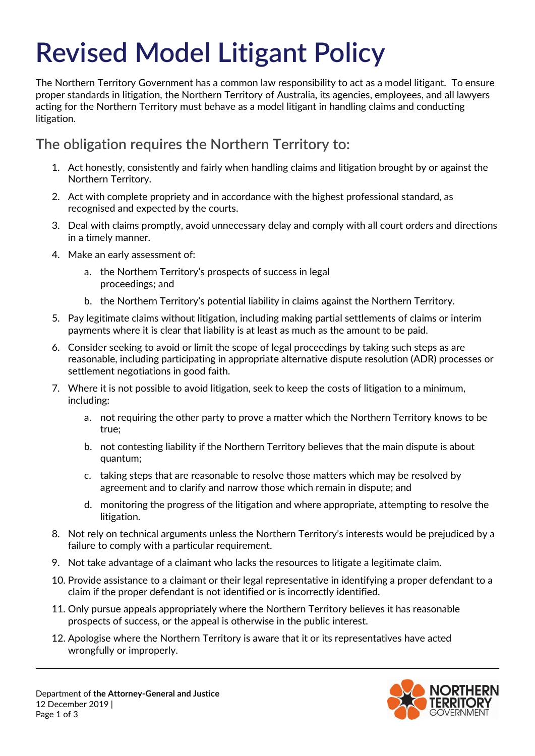# **Revised Model Litigant Policy**

The Northern Territory Government has a common law responsibility to act as a model litigant. To ensure proper standards in litigation, the Northern Territory of Australia, its agencies, employees, and all lawyers acting for the Northern Territory must behave as a model litigant in handling claims and conducting litigation.

## **The obligation requires the Northern Territory to:**

- 1. Act honestly, consistently and fairly when handling claims and litigation brought by or against the Northern Territory.
- 2. Act with complete propriety and in accordance with the highest professional standard, as recognised and expected by the courts.
- 3. Deal with claims promptly, avoid unnecessary delay and comply with all court orders and directions in a timely manner.
- 4. Make an early assessment of:
	- a. the Northern Territory's prospects of success in legal proceedings; and
	- b. the Northern Territory's potential liability in claims against the Northern Territory.
- 5. Pay legitimate claims without litigation, including making partial settlements of claims or interim payments where it is clear that liability is at least as much as the amount to be paid.
- 6. Consider seeking to avoid or limit the scope of legal proceedings by taking such steps as are reasonable, including participating in appropriate alternative dispute resolution (ADR) processes or settlement negotiations in good faith.
- 7. Where it is not possible to avoid litigation, seek to keep the costs of litigation to a minimum, including:
	- a. not requiring the other party to prove a matter which the Northern Territory knows to be true;
	- b. not contesting liability if the Northern Territory believes that the main dispute is about quantum;
	- c. taking steps that are reasonable to resolve those matters which may be resolved by agreement and to clarify and narrow those which remain in dispute; and
	- d. monitoring the progress of the litigation and where appropriate, attempting to resolve the litigation.
- 8. Not rely on technical arguments unless the Northern Territory's interests would be prejudiced by a failure to comply with a particular requirement.
- 9. Not take advantage of a claimant who lacks the resources to litigate a legitimate claim.
- 10. Provide assistance to a claimant or their legal representative in identifying a proper defendant to a claim if the proper defendant is not identified or is incorrectly identified.
- 11. Only pursue appeals appropriately where the Northern Territory believes it has reasonable prospects of success, or the appeal is otherwise in the public interest.
- 12. Apologise where the Northern Territory is aware that it or its representatives have acted wrongfully or improperly.

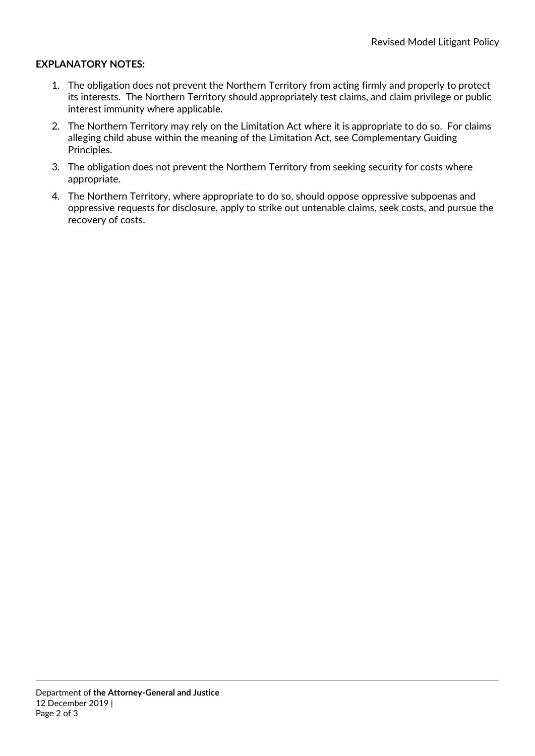#### **EXPLANATORY NOTES:**

- 1. The obligation does not prevent the Northern Territory from acting firmly and properly to protect its interests. The Northern Territory should appropriately test claims, and claim privilege or public interest immunity where applicable.
- 2. The Northern Territory may rely on the Limitation Act where it is appropriate to do so. For claims alleging child abuse within the meaning of the Limitation Act, see Complementary Guiding Principles.
- 3. The obligation does not prevent the Northern Territory from seeking security for costs where appropriate.
- 4. The Northern Territory, where appropriate to do so, should oppose oppressive subpoenas and oppressive requests for disclosure, apply to strike out untenable claims, seek costs, and pursue the recovery of costs.